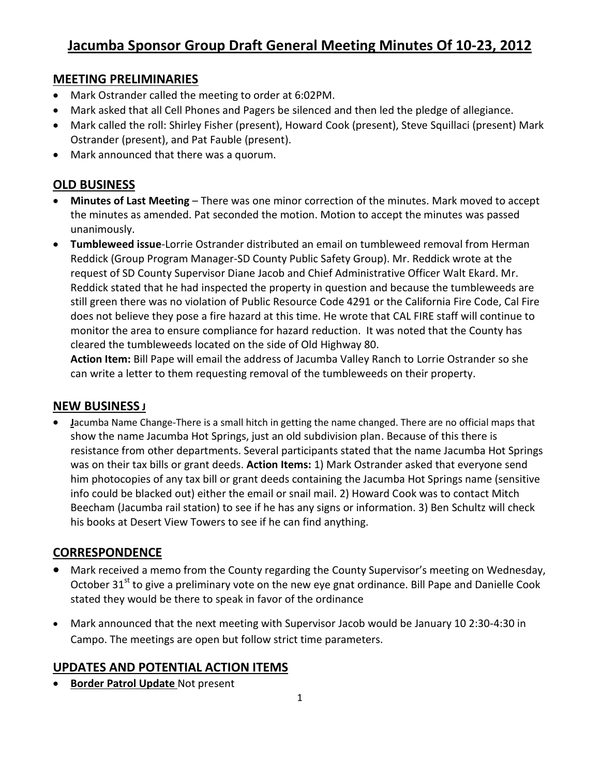### **MEETING PRELIMINARIES**

- Mark Ostrander called the meeting to order at 6:02PM.
- Mark asked that all Cell Phones and Pagers be silenced and then led the pledge of allegiance.
- Mark called the roll: Shirley Fisher (present), Howard Cook (present), Steve Squillaci (present) Mark Ostrander (present), and Pat Fauble (present).
- Mark announced that there was a quorum.

## **OLD BUSINESS**

- **Minutes of Last Meeting** There was one minor correction of the minutes. Mark moved to accept the minutes as amended. Pat seconded the motion. Motion to accept the minutes was passed unanimously.
- **Tumbleweed issue**-Lorrie Ostrander distributed an email on tumbleweed removal from Herman Reddick (Group Program Manager-SD County Public Safety Group). Mr. Reddick wrote at the request of SD County Supervisor Diane Jacob and Chief Administrative Officer Walt Ekard. Mr. Reddick stated that he had inspected the property in question and because the tumbleweeds are still green there was no violation of Public Resource Code 4291 or the California Fire Code, Cal Fire does not believe they pose a fire hazard at this time. He wrote that CAL FIRE staff will continue to monitor the area to ensure compliance for hazard reduction. It was noted that the County has cleared the tumbleweeds located on the side of Old Highway 80.

**Action Item:** Bill Pape will email the address of Jacumba Valley Ranch to Lorrie Ostrander so she can write a letter to them requesting removal of the tumbleweeds on their property.

## **NEW BUSINESS J**

 **J**acumba Name Change-There is a small hitch in getting the name changed. There are no official maps that show the name Jacumba Hot Springs, just an old subdivision plan. Because of this there is resistance from other departments. Several participants stated that the name Jacumba Hot Springs was on their tax bills or grant deeds. **Action Items:** 1) Mark Ostrander asked that everyone send him photocopies of any tax bill or grant deeds containing the Jacumba Hot Springs name (sensitive info could be blacked out) either the email or snail mail. 2) Howard Cook was to contact Mitch Beecham (Jacumba rail station) to see if he has any signs or information. 3) Ben Schultz will check his books at Desert View Towers to see if he can find anything.

## **CORRESPONDENCE**

- Mark received a memo from the County regarding the County Supervisor's meeting on Wednesday, October 31<sup>st</sup> to give a preliminary vote on the new eye gnat ordinance. Bill Pape and Danielle Cook stated they would be there to speak in favor of the ordinance
- Mark announced that the next meeting with Supervisor Jacob would be January 10 2:30-4:30 in Campo. The meetings are open but follow strict time parameters.

## **UPDATES AND POTENTIAL ACTION ITEMS**

**Border Patrol Update** Not present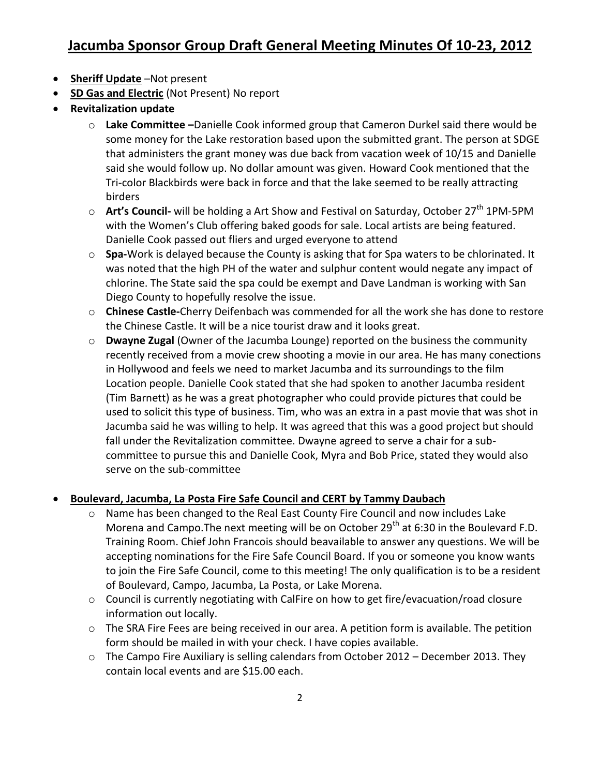# **Jacumba Sponsor Group Draft General Meeting Minutes Of 10-23, 2012**

- **•** Sheriff Update –Not present
- **SD Gas and Electric** (Not Present) No report
- **Revitalization update**
	- o **Lake Committee –**Danielle Cook informed group that Cameron Durkel said there would be some money for the Lake restoration based upon the submitted grant. The person at SDGE that administers the grant money was due back from vacation week of 10/15 and Danielle said she would follow up. No dollar amount was given. Howard Cook mentioned that the Tri-color Blackbirds were back in force and that the lake seemed to be really attracting birders
	- o **Art's Council** will be holding a Art Show and Festival on Saturday, October 27<sup>th</sup> 1PM-5PM with the Women's Club offering baked goods for sale. Local artists are being featured. Danielle Cook passed out fliers and urged everyone to attend
	- o **Spa-**Work is delayed because the County is asking that for Spa waters to be chlorinated. It was noted that the high PH of the water and sulphur content would negate any impact of chlorine. The State said the spa could be exempt and Dave Landman is working with San Diego County to hopefully resolve the issue.
	- o **Chinese Castle-**Cherry Deifenbach was commended for all the work she has done to restore the Chinese Castle. It will be a nice tourist draw and it looks great.
	- o **Dwayne Zugal** (Owner of the Jacumba Lounge) reported on the business the community recently received from a movie crew shooting a movie in our area. He has many conections in Hollywood and feels we need to market Jacumba and its surroundings to the film Location people. Danielle Cook stated that she had spoken to another Jacumba resident (Tim Barnett) as he was a great photographer who could provide pictures that could be used to solicit this type of business. Tim, who was an extra in a past movie that was shot in Jacumba said he was willing to help. It was agreed that this was a good project but should fall under the Revitalization committee. Dwayne agreed to serve a chair for a subcommittee to pursue this and Danielle Cook, Myra and Bob Price, stated they would also serve on the sub-committee

#### **Boulevard, Jacumba, La Posta Fire Safe Council and CERT by Tammy Daubach**

- Name has been changed to the Real East County Fire Council and now includes Lake Morena and Campo. The next meeting will be on October 29<sup>th</sup> at 6:30 in the Boulevard F.D. Training Room. Chief John Francois should beavailable to answer any questions. We will be accepting nominations for the Fire Safe Council Board. If you or someone you know wants to join the Fire Safe Council, come to this meeting! The only qualification is to be a resident of Boulevard, Campo, Jacumba, La Posta, or Lake Morena.
- o Council is currently negotiating with CalFire on how to get fire/evacuation/road closure information out locally.
- $\circ$  The SRA Fire Fees are being received in our area. A petition form is available. The petition form should be mailed in with your check. I have copies available.
- o The Campo Fire Auxiliary is selling calendars from October 2012 December 2013. They contain local events and are \$15.00 each.